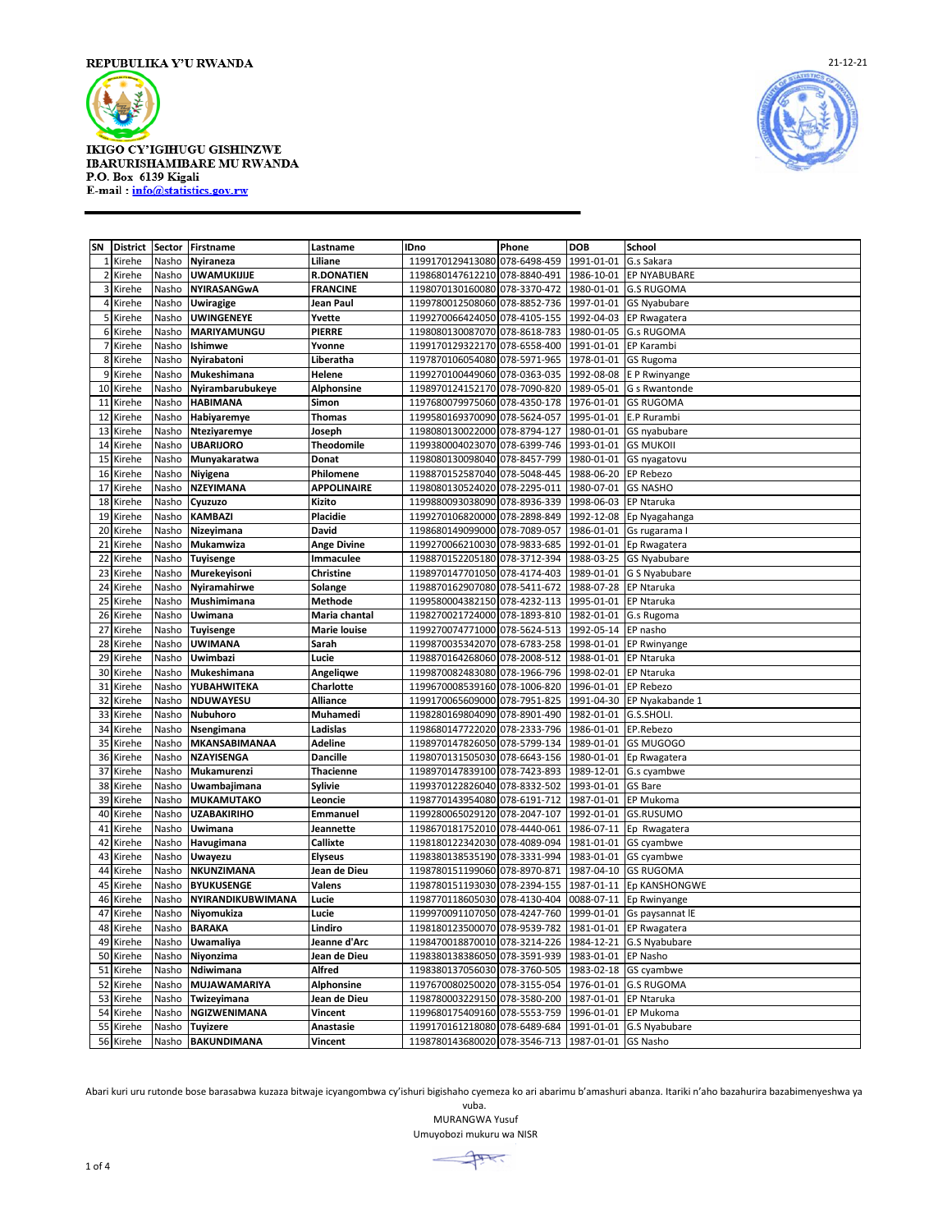

**IKIGO CY'IGIHUGU GISHINZWE** IBARURISHAMIBARE MU RWANDA P.O. Box 6139 Kigali E-mail: info@statistics.gov.rw



|                |          |       | SN District Sector Firstname | Lastname           | <b>IDno</b>                                       | Phone        | <b>DOB</b> | School                   |
|----------------|----------|-------|------------------------------|--------------------|---------------------------------------------------|--------------|------------|--------------------------|
|                | 1 Kirehe | Nasho | Nyiraneza                    | Liliane            | 1199170129413080                                  | 078-6498-459 | 1991-01-01 | G.s Sakara               |
| $\overline{2}$ | Kirehe   | Nasho | UWAMUKIJIJE                  | <b>R.DONATIEN</b>  | 1198680147612210                                  | 078-8840-491 | 1986-10-01 | <b>EP NYABUBARE</b>      |
|                | 3 Kirehe | Nasho | NYIRASANGwA                  | <b>FRANCINE</b>    | 1198070130160080                                  | 078-3370-472 | 1980-01-01 | <b>G.S RUGOMA</b>        |
|                | 4 Kirehe | Nasho | Uwiragige                    | Jean Paul          | 1199780012508060                                  | 078-8852-736 | 1997-01-01 | <b>GS Nyabubare</b>      |
|                | 5 Kirehe | Nasho | UWINGENEYE                   | Yvette             | 1199270066424050                                  | 078-4105-155 | 1992-04-03 | EP Rwagatera             |
|                | 6 Kirehe | Nasho | MARIYAMUNGU                  | <b>PIERRE</b>      | 1198080130087070                                  | 078-8618-783 | 1980-01-05 | <b>G.s RUGOMA</b>        |
| $\overline{7}$ | Kirehe   | Nasho | Ishimwe                      | Yvonne             | 1199170129322170                                  | 078-6558-400 | 1991-01-01 | EP Karambi               |
| 8              | Kirehe   | Nasho | Nyirabatoni                  | Liberatha          | 1197870106054080                                  | 078-5971-965 | 1978-01-01 | <b>GS Rugoma</b>         |
| 9              | Kirehe   | Nasho | Mukeshimana                  | Helene             | 1199270100449060                                  | 078-0363-035 | 1992-08-08 | E P Rwinyange            |
| 10             | Kirehe   | Nasho | Nyirambarubukeye             | <b>Alphonsine</b>  | 1198970124152170                                  | 078-7090-820 | 1989-05-01 | G s Rwantonde            |
| 11             | Kirehe   | Nasho | <b>HABIMANA</b>              | Simon              | 1197680079975060 078-4350-178                     |              | 1976-01-01 | <b>GS RUGOMA</b>         |
| 12             | Kirehe   | Nasho | Habiyaremye                  | Thomas             | 1199580169370090                                  | 078-5624-057 | 1995-01-01 | E.P Rurambi              |
| 13             | Kirehe   | Nasho | Nteziyaremye                 | Joseph             | 1198080130022000                                  | 078-8794-127 | 1980-01-01 | GS nyabubare             |
| 14             | Kirehe   | Nasho | <b>UBARIJORO</b>             | Theodomile         | 1199380004023070                                  | 078-6399-746 | 1993-01-01 | <b>GS MUKOII</b>         |
| 15             | Kirehe   | Nasho | Munyakaratwa                 | Donat              | 1198080130098040                                  | 078-8457-799 | 1980-01-01 | GS nyagatovu             |
| 16             | Kirehe   | Nasho | Niyigena                     | Philomene          | 1198870152587040                                  | 078-5048-445 | 1988-06-20 | <b>EP Rebezo</b>         |
| 17             | Kirehe   | Nasho | NZEYIMANA                    | <b>APPOLINAIRE</b> | 1198080130524020                                  | 078-2295-011 | 1980-07-01 | <b>GS NASHO</b>          |
| 18             | Kirehe   | Nasho | Cyuzuzo                      | Kizito             | 1199880093038090                                  | 078-8936-339 | 1998-06-03 | <b>EP Ntaruka</b>        |
| 19             | Kirehe   | Nasho | <b>KAMBAZI</b>               | Placidie           | 1199270106820000                                  | 078-2898-849 | 1992-12-08 | Ep Nyagahanga            |
| 20             | Kirehe   | Nasho | Nizeyimana                   | <b>David</b>       | 1198680149099000                                  | 078-7089-057 | 1986-01-01 | Gs rugarama I            |
| 21             | Kirehe   | Nasho | Mukamwiza                    | <b>Ange Divine</b> | 1199270066210030 078-9833-685                     |              | 1992-01-01 | Ep Rwagatera             |
| 22             | Kirehe   | Nasho | <b>Tuyisenge</b>             | Immaculee          | 1198870152205180                                  | 078-3712-394 | 1988-03-25 | <b>GS Nyabubare</b>      |
| 23             | Kirehe   | Nasho | Murekeyisoni                 | Christine          | 1198970147701050                                  | 078-4174-403 | 1989-01-01 | <b>G S Nyabubare</b>     |
| 24             | Kirehe   | Nasho | Nyiramahirwe                 | Solange            | 1198870162907080 078-5411-672                     |              | 1988-07-28 | <b>EP Ntaruka</b>        |
| 25             | Kirehe   | Nasho | Mushimimana                  | Methode            | 1199580004382150                                  | 078-4232-113 | 1995-01-01 | <b>EP Ntaruka</b>        |
| 26             | Kirehe   | Nasho | Uwimana                      | Maria chantal      | 1198270021724000                                  | 078-1893-810 | 1982-01-01 | G.s Rugoma               |
| 27             | Kirehe   | Nasho | <b>Tuyisenge</b>             | Marie louise       | 1199270074771000 078-5624-513                     |              | 1992-05-14 | EP nasho                 |
| 28             | Kirehe   | Nasho | UWIMANA                      | Sarah              | 1199870035342070                                  | 078-6783-258 | 1998-01-01 | <b>EP Rwinyange</b>      |
| 29             | Kirehe   | Nasho | Uwimbazi                     | Lucie              | 1198870164268060                                  | 078-2008-512 | 1988-01-01 | <b>EP Ntaruka</b>        |
| 30             | Kirehe   | Nasho | Mukeshimana                  | Angeliqwe          | 1199870082483080                                  | 078-1966-796 | 1998-02-01 | <b>EP Ntaruka</b>        |
| 31             | Kirehe   | Nasho | YUBAHWITEKA                  | Charlotte          | 1199670008539160                                  | 078-1006-820 | 1996-01-01 | EP Rebezo                |
| 32             | Kirehe   | Nasho | NDUWAYESU                    | Alliance           | 1199170065609000                                  | 078-7951-825 | 1991-04-30 | EP Nyakabande 1          |
| 33             | Kirehe   | Nasho | Nubuhoro                     | Muhamedi           | 1198280169804090                                  | 078-8901-490 | 1982-01-01 | G.S.SHOLI.               |
| 34             | Kirehe   | Nasho | Nsengimana                   | Ladislas           | 1198680147722020                                  | 078-2333-796 | 1986-01-01 | EP.Rebezo                |
| 35             | Kirehe   | Nasho | <b>MKANSABIMANAA</b>         | Adeline            | 1198970147826050                                  | 078-5799-134 | 1989-01-01 | <b>GS MUGOGO</b>         |
| 36             | Kirehe   | Nasho | NZAYISENGA                   | <b>Dancille</b>    | 1198070131505030                                  | 078-6643-156 | 1980-01-01 | Ep Rwagatera             |
| 37             | Kirehe   | Nasho | Mukamurenzi                  | Thacienne          | 1198970147839100                                  | 078-7423-893 | 1989-12-01 | G.s cyambwe              |
| 38             | Kirehe   | Nasho | Uwambajimana                 | Sylivie            | 1199370122826040                                  | 078-8332-502 | 1993-01-01 | <b>GS Bare</b>           |
| 39             | Kirehe   | Nasho | <b>MUKAMUTAKO</b>            | Leoncie            | 1198770143954080                                  | 078-6191-712 | 1987-01-01 | EP Mukoma                |
| 40             | Kirehe   | Nasho | UZABAKIRIHO                  | Emmanuel           | 1199280065029120                                  | 078-2047-107 | 1992-01-01 | GS.RUSUMO                |
| 41             | Kirehe   | Nasho | Uwimana                      | Jeannette          | 1198670181752010                                  | 078-4440-061 | 1986-07-11 | Ep Rwagatera             |
| 42             | Kirehe   | Nasho | Havugimana                   | Callixte           | 1198180122342030                                  | 078-4089-094 | 1981-01-01 | GS cyambwe               |
| 43             | Kirehe   | Nasho | Uwayezu                      | <b>Elyseus</b>     | 1198380138535190                                  | 078-3331-994 | 1983-01-01 | GS cyambwe               |
| 44             | Kirehe   | Nasho | NKUNZIMANA                   | Jean de Dieu       | 1198780151199060                                  | 078-8970-871 | 1987-04-10 | <b>GS RUGOMA</b>         |
| 45             | Kirehe   | Nasho | <b>BYUKUSENGE</b>            | Valens             | 1198780151193030                                  | 078-2394-155 |            | 1987-01-11 Ep KANSHONGWE |
| 46             | Kirehe   | Nasho | NYIRANDIKUBWIMANA            | Lucie              | 1198770118605030                                  | 078-4130-404 |            | 0088-07-11 Ep Rwinyange  |
| 47             | Kirehe   | Nasho | Niyomukiza                   | Lucie              | 1199970091107050                                  | 078-4247-760 | 1999-01-01 | Gs paysannat IE          |
| 48             | Kirehe   | Nasho | <b>BARAKA</b>                | Lindiro            | 1198180123500070                                  | 078-9539-782 | 1981-01-01 | EP Rwagatera             |
| 49             | Kirehe   | Nasho | <b>Uwamaliya</b>             | Jeanne d'Arc       | 1198470018870010                                  | 078-3214-226 | 1984-12-21 | G.S Nyabubare            |
| 50             | Kirehe   | Nasho | Niyonzima                    | Jean de Dieu       | 1198380138386050                                  | 078-3591-939 | 1983-01-01 | EP Nasho                 |
| 51             | Kirehe   | Nasho | Ndiwimana                    | Alfred             | 1198380137056030                                  | 078-3760-505 | 1983-02-18 | GS cyambwe               |
| 52             | Kirehe   | Nasho | MUJAWAMARIYA                 | <b>Alphonsine</b>  | 1197670080250020                                  | 078-3155-054 | 1976-01-01 | <b>G.S RUGOMA</b>        |
| 53             | Kirehe   | Nasho | Twizeyimana                  | Jean de Dieu       | 1198780003229150                                  | 078-3580-200 | 1987-01-01 | <b>EP Ntaruka</b>        |
| 54             | Kirehe   | Nasho | NGIZWENIMANA                 | Vincent            | 1199680175409160 078-5553-759                     |              | 1996-01-01 | EP Mukoma                |
| 55             | Kirehe   | Nasho | <b>Tuyizere</b>              | Anastasie          | 1199170161218080 078-6489-684                     |              | 1991-01-01 | G.S Nyabubare            |
| 56             | Kirehe   | Nasho | <b>BAKUNDIMANA</b>           | Vincent            | 1198780143680020 078-3546-713 1987-01-01 GS Nasho |              |            |                          |
|                |          |       |                              |                    |                                                   |              |            |                          |

Abari kuri uru rutonde bose barasabwa kuzaza bitwaje icyangombwa cy'ishuri bigishaho cyemeza ko ari abarimu b'amashuri abanza. Itariki n'aho bazahurira bazabimenyeshwa ya

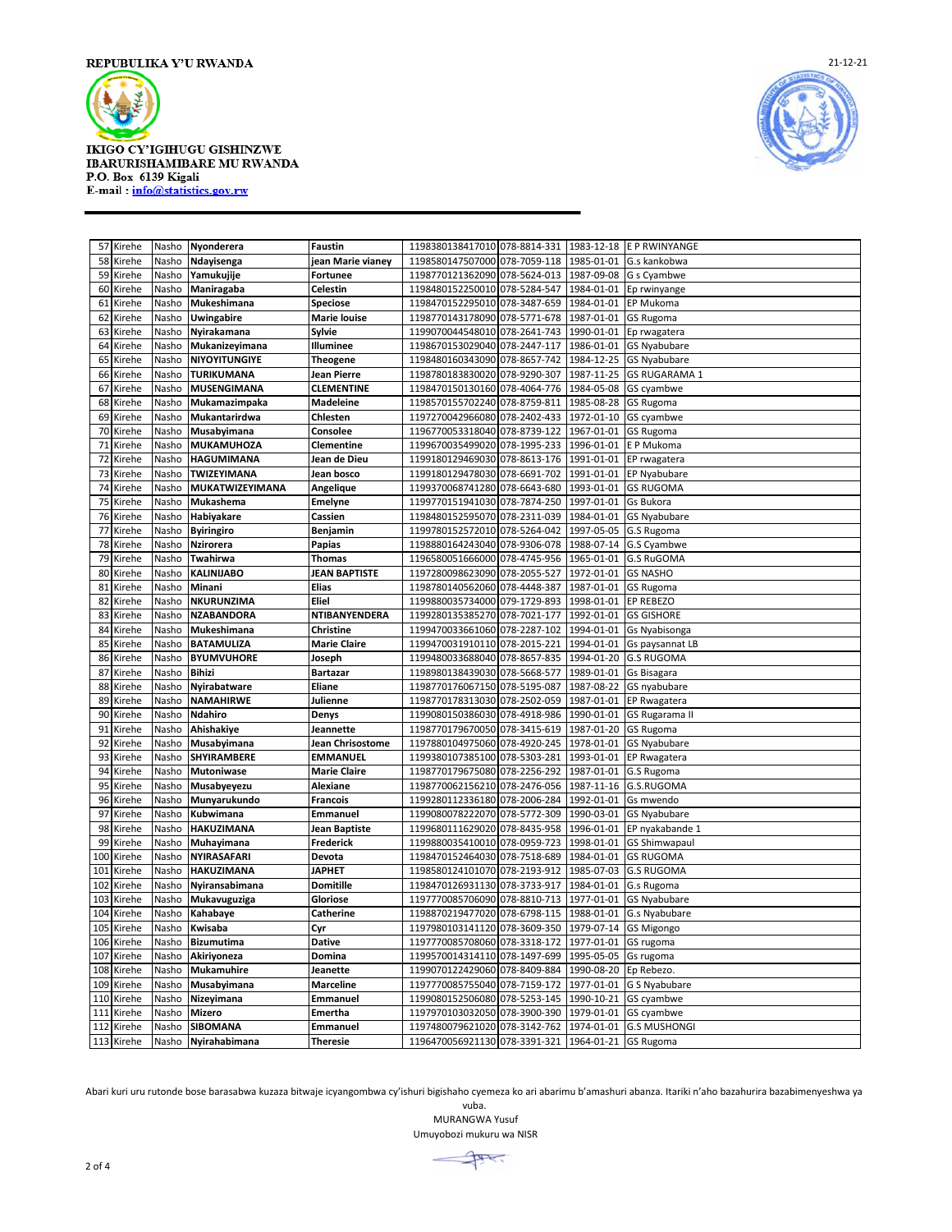

**IKIGO CY'IGIHUGU GISHINZWE** IBARURISHAMIBARE MU RWANDA P.O. Box 6139 Kigali E-mail: info@statistics.gov.rw



|     | 57 Kirehe  | Nasho | Nyonderera             | Faustin              | 1198380138417010 078-8814-331 1983-12-18 E P RWINYANGE |            |                       |
|-----|------------|-------|------------------------|----------------------|--------------------------------------------------------|------------|-----------------------|
| 58  | Kirehe     | Nasho | Ndayisenga             | jean Marie vianey    | 1198580147507000 078-7059-118                          | 1985-01-01 | G.s kankobwa          |
| 59  | Kirehe     | Nasho | Yamukujije             | Fortunee             | 1198770121362090 078-5624-013                          | 1987-09-08 | G s Cyambwe           |
| 60  | Kirehe     | Nasho | Maniragaba             | Celestin             | 1198480152250010 078-5284-547                          | 1984-01-01 | Ep rwinyange          |
| 61  | Kirehe     | Nasho | Mukeshimana            | Speciose             | 1198470152295010 078-3487-659                          | 1984-01-01 | EP Mukoma             |
| 62  | Kirehe     | Nasho | <b>Uwingabire</b>      | Marie louise         | 1198770143178090 078-5771-678                          | 1987-01-01 | <b>GS Rugoma</b>      |
| 63  | Kirehe     | Nasho | Nyirakamana            | Sylvie               | 1199070044548010 078-2641-743                          | 1990-01-01 | Ep rwagatera          |
| 64  | Kirehe     | Nasho | Mukanizeyimana         | Illuminee            | 1198670153029040 078-2447-117                          | 1986-01-01 | <b>GS Nyabubare</b>   |
| 65  | Kirehe     | Nasho | NIYOYITUNGIYE          | Theogene             | 1198480160343090 078-8657-742                          | 1984-12-25 | <b>GS Nyabubare</b>   |
|     | 66 Kirehe  | Nasho | <b>TURIKUMANA</b>      | Jean Pierre          | 1198780183830020 078-9290-307                          | 1987-11-25 | <b>GS RUGARAMA 1</b>  |
| 67  | Kirehe     | Nasho | <b>MUSENGIMANA</b>     | <b>CLEMENTINE</b>    | 1198470150130160 078-4064-776                          | 1984-05-08 | GS cyambwe            |
| 68  | Kirehe     | Nasho | Mukamazimpaka          | Madeleine            | 1198570155702240 078-8759-811                          | 1985-08-28 | <b>GS Rugoma</b>      |
| 69  | Kirehe     | Nasho | Mukantarirdwa          | Chlesten             | 1197270042966080 078-2402-433                          | 1972-01-10 | GS cyambwe            |
| 70  | Kirehe     | Nasho | Musabyimana            | Consolee             | 1196770053318040 078-8739-122                          | 1967-01-01 | <b>GS Rugoma</b>      |
| 71  | Kirehe     | Nasho | MUKAMUHOZA             | Clementine           | 1199670035499020 078-1995-233                          | 1996-01-01 | E P Mukoma            |
| 72  | Kirehe     | Nasho | HAGUMIMANA             | Jean de Dieu         | 1199180129469030 078-8613-176                          | 1991-01-01 | EP rwagatera          |
| 73  | Kirehe     | Nasho | TWIZEYIMANA            | Jean bosco           | 1199180129478030 078-6691-702                          | 1991-01-01 | EP Nyabubare          |
|     | 74 Kirehe  | Nasho | <b>MUKATWIZEYIMANA</b> | Angelique            | 1199370068741280 078-6643-680                          | 1993-01-01 | <b>GS RUGOMA</b>      |
| 75  | Kirehe     | Nasho | Mukashema              | <b>Emelyne</b>       | 1199770151941030 078-7874-250                          | 1997-01-01 | Gs Bukora             |
|     | 76 Kirehe  | Nasho | Habiyakare             | Cassien              | 1198480152595070 078-2311-039                          | 1984-01-01 | GS Nyabubare          |
| 77  | Kirehe     | Nasho | <b>Byiringiro</b>      | Benjamin             | 1199780152572010 078-5264-042                          | 1997-05-05 | G.S Rugoma            |
| 78  | Kirehe     | Nasho | Nzirorera              | Papias               | 1198880164243040 078-9306-078                          | 1988-07-14 | G.S Cyambwe           |
| 79  | Kirehe     | Nasho | Twahirwa               | <b>Thomas</b>        | 1196580051666000 078-4745-956                          | 1965-01-01 | <b>G.S RuGOMA</b>     |
| 80  | Kirehe     | Nasho | <b>KALINIJABO</b>      | <b>JEAN BAPTISTE</b> | 1197280098623090 078-2055-527                          | 1972-01-01 | <b>GS NASHO</b>       |
| 81  | Kirehe     | Nasho | Minani                 | Elias                | 1198780140562060 078-4448-387                          | 1987-01-01 | <b>GS Rugoma</b>      |
| 82  | Kirehe     | Nasho | NKURUNZIMA             | Eliel                | 1199880035734000 079-1729-893                          | 1998-01-01 | EP REBEZO             |
| 83  | Kirehe     | Nasho | <b>NZABANDORA</b>      | NTIBANYENDERA        | 1199280135385270 078-7021-177                          | 1992-01-01 | <b>GS GISHORE</b>     |
| 84  | Kirehe     | Nasho | Mukeshimana            | Christine            | 1199470033661060 078-2287-102                          | 1994-01-01 | <b>Gs Nyabisonga</b>  |
| 85  | Kirehe     | Nasho | <b>BATAMULIZA</b>      | <b>Marie Claire</b>  | 1199470031910110 078-2015-221                          | 1994-01-01 | Gs paysannat LB       |
| 86  | Kirehe     | Nasho | <b>BYUMVUHORE</b>      | Joseph               | 1199480033688040 078-8657-835                          | 1994-01-20 | <b>G.S RUGOMA</b>     |
| 87  | Kirehe     | Nasho | Bihizi                 | Bartazar             | 1198980138439030 078-5668-577                          | 1989-01-01 | Gs Bisagara           |
| 88  | Kirehe     | Nasho | Nyirabatware           | Eliane               | 1198770176067150 078-5195-087                          | 1987-08-22 | GS nyabubare          |
| 89  | Kirehe     | Nasho | <b>NAMAHIRWE</b>       | Julienne             | 1198770178313030 078-2502-059                          | 1987-01-01 | EP Rwagatera          |
| 90  | Kirehe     | Nasho | Ndahiro                | Denys                | 1199080150386030 078-4918-986                          | 1990-01-01 | <b>GS Rugarama II</b> |
|     | 91 Kirehe  | Nasho | Ahishakiye             | Jeannette            | 1198770179670050 078-3415-619                          | 1987-01-20 | <b>GS Rugoma</b>      |
| 92  | Kirehe     | Nasho | Musabyimana            | Jean Chrisostome     | 1197880104975060 078-4920-245                          | 1978-01-01 | <b>GS Nyabubare</b>   |
| 93  | Kirehe     | Nasho | SHYIRAMBERE            | EMMANUEL             | 1199380107385100 078-5303-281                          | 1993-01-01 | EP Rwagatera          |
| 94  | Kirehe     | Nasho | Mutoniwase             | <b>Marie Claire</b>  | 1198770179675080 078-2256-292                          | 1987-01-01 | G.S Rugoma            |
| 95  | Kirehe     | Nasho | Musabyeyezu            | Alexiane             | 1198770062156210 078-2476-056                          | 1987-11-16 | G.S.RUGOMA            |
| 96  | Kirehe     | Nasho | Munyarukundo           | Francois             | 1199280112336180 078-2006-284                          | 1992-01-01 | Gs mwendo             |
|     | 97 Kirehe  | Nasho | Kubwimana              | Emmanuel             | 1199080078222070 078-5772-309                          | 1990-03-01 | GS Nyabubare          |
| 98  | Kirehe     | Nasho | HAKUZIMANA             | Jean Baptiste        | 1199680111629020 078-8435-958                          | 1996-01-01 | EP nyakabande 1       |
| 99  | Kirehe     | Nasho | Muhayimana             | Frederick            | 1199880035410010 078-0959-723                          | 1998-01-01 | <b>GS Shimwapaul</b>  |
| 100 | Kirehe     | Nasho | NYIRASAFARI            | Devota               | 1198470152464030 078-7518-689                          | 1984-01-01 | <b>GS RUGOMA</b>      |
|     | 101 Kirehe | Nasho | <b>HAKUZIMANA</b>      | JAPHET               | 1198580124101070 078-2193-912                          | 1985-07-03 | <b>G.S RUGOMA</b>     |
| 102 | Kirehe     | Nasho | Nyiransabimana         | <b>Domitille</b>     | 1198470126931130 078-3733-917                          | 1984-01-01 | G.s Rugoma            |
| 103 | Kirehe     | Nasho | Mukavuguziga           | Gloriose             | 1197770085706090 078-8810-713                          | 1977-01-01 | <b>GS Nyabubare</b>   |
| 104 | Kirehe     | Nasho | Kahabaye               | Catherine            | 1198870219477020 078-6798-115 1988-01-01 G.s Nyabubare |            |                       |
|     | 105 Kirehe | Nasho | Kwisaba                | Cyr                  | 1197980103141120 078-3609-350 1979-07-14 GS Migongo    |            |                       |
|     | 106 Kirehe | Nasho | <b>Bizumutima</b>      | Dative               | 1197770085708060 078-3318-172 1977-01-01               |            | GS rugoma             |
|     | 107 Kirehe | Nasho | Akiriyoneza            | Domina               | 1199570014314110 078-1497-699                          | 1995-05-05 | Gs rugoma             |
|     | 108 Kirehe | Nasho | Mukamuhire             | Jeanette             | 1199070122429060 078-8409-884                          | 1990-08-20 | Ep Rebezo.            |
|     | 109 Kirehe | Nasho | Musabyimana            | <b>Marceline</b>     | 1197770085755040 078-7159-172                          | 1977-01-01 | G S Nyabubare         |
|     | 110 Kirehe | Nasho | Nizeyimana             | Emmanuel             | 1199080152506080 078-5253-145                          | 1990-10-21 | GS cyambwe            |
|     | 111 Kirehe | Nasho | Mizero                 | Emertha              | 1197970103032050 078-3900-390                          | 1979-01-01 | GS cyambwe            |
|     | 112 Kirehe | Nasho | SIBOMANA               | Emmanuel             | 1197480079621020 078-3142-762                          | 1974-01-01 | <b>G.S MUSHONGI</b>   |
|     | 113 Kirehe | Nasho | Nyirahabimana          | <b>Theresie</b>      | 1196470056921130 078-3391-321                          | 1964-01-21 | <b>GS Rugoma</b>      |
|     |            |       |                        |                      |                                                        |            |                       |

Abari kuri uru rutonde bose barasabwa kuzaza bitwaje icyangombwa cy'ishuri bigishaho cyemeza ko ari abarimu b'amashuri abanza. Itariki n'aho bazahurira bazabimenyeshwa ya

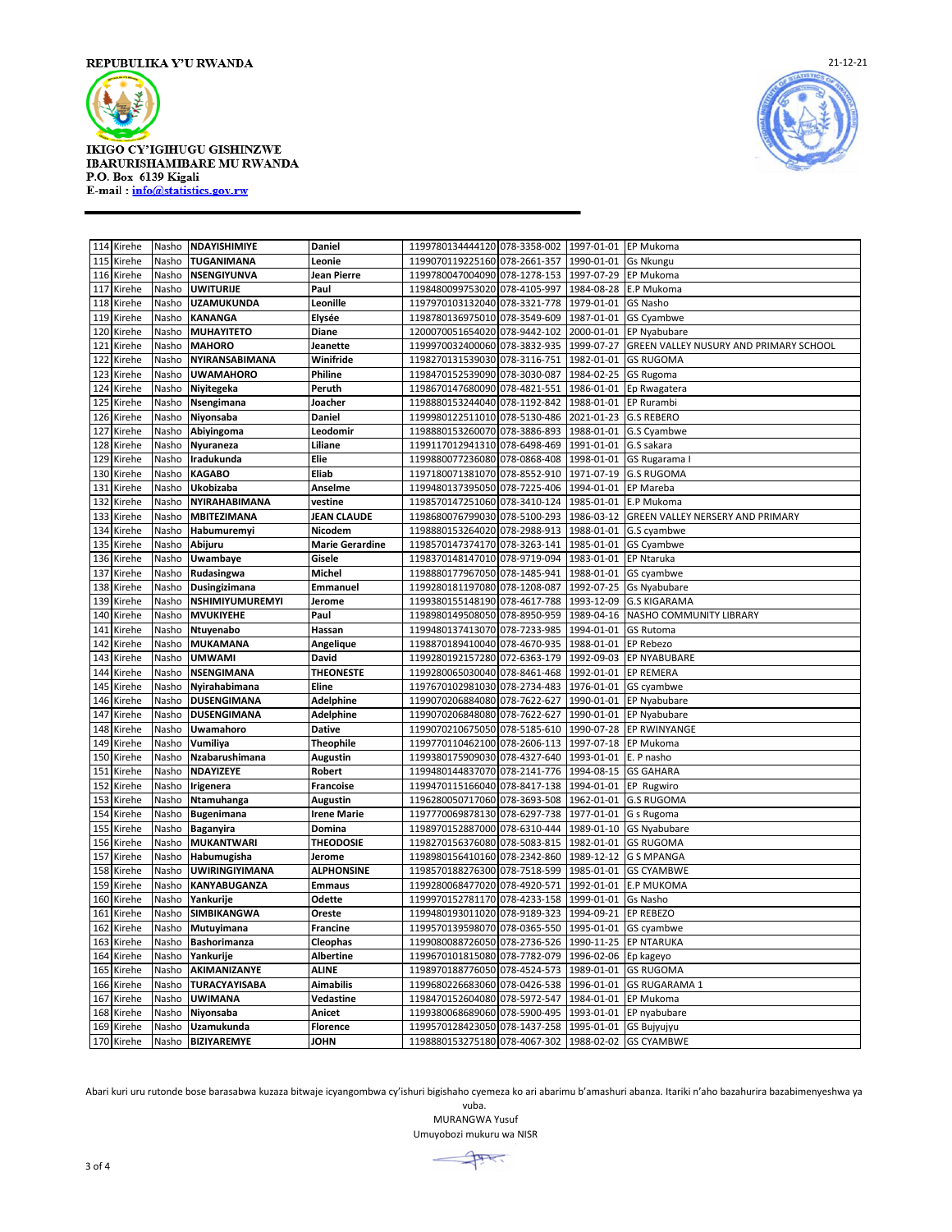

**IKIGO CY'IGIHUGU GISHINZWE** IBARURISHAMIBARE MU RWANDA P.O. Box 6139 Kigali<br>E-mail: info@statistics.gov.rw



|     | 114 Kirehe | Nasho | NDAYISHIMIYE        | Daniel                 | 1199780134444120 078-3358-002                       | 1997-01-01             | EP Mukoma                              |
|-----|------------|-------|---------------------|------------------------|-----------------------------------------------------|------------------------|----------------------------------------|
| 115 | Kirehe     | Nasho | TUGANIMANA          | Leonie                 | 1199070119225160 078-2661-357                       | 1990-01-01             | <b>Gs Nkungu</b>                       |
| 116 | Kirehe     | Nasho | NSENGIYUNVA         | Jean Pierre            | 1199780047004090 078-1278-153                       | 1997-07-29             | EP Mukoma                              |
| 117 | Kirehe     | Nasho | UWITURIJE           | Paul                   | 1198480099753020<br>078-4105-997                    | 1984-08-28             | E.P Mukoma                             |
| 118 | Kirehe     | Nasho | <b>UZAMUKUNDA</b>   | Leonille               | 1197970103132040<br>078-3321-778                    | 1979-01-01             | GS Nasho                               |
| 119 | Kirehe     | Nasho | <b>KANANGA</b>      | Elysée                 | 1198780136975010<br>078-3549-609                    | 1987-01-01             | <b>GS Cyambwe</b>                      |
| 120 | Kirehe     | Nasho | <b>MUHAYITETO</b>   | Diane                  | 1200070051654020<br>078-9442-102                    | 2000-01-01             | <b>EP Nyabubare</b>                    |
| 121 | Kirehe     | Nasho | <b>MAHORO</b>       | Jeanette               | 078-3832-935<br>1199970032400060                    | 1999-07-27             | GREEN VALLEY NUSURY AND PRIMARY SCHOOL |
| 122 | Kirehe     | Nasho | NYIRANSABIMANA      | Winifride              | 1198270131539030<br>078-3116-751                    | 1982-01-01             | <b>GS RUGOMA</b>                       |
| 123 | Kirehe     | Nasho | <b>UWAMAHORO</b>    | Philine                | 1198470152539090<br>078-3030-087                    | 1984-02-25             | <b>GS Rugoma</b>                       |
| 124 | Kirehe     | Nasho | Niyitegeka          | Peruth                 | 1198670147680090<br>078-4821-551                    | 1986-01-01             | Ep Rwagatera                           |
| 125 | Kirehe     | Nasho | Nsengimana          | Joacher                | 1198880153244040<br>078-1192-842                    | 1988-01-01             | EP Rurambi                             |
| 126 | Kirehe     | Nasho | Niyonsaba           | Daniel                 | 1199980122511010<br>078-5130-486                    | 2021-01-23             | <b>G.S REBERO</b>                      |
| 127 | Kirehe     | Nasho | Abiyingoma          | Leodomir               | 078-3886-893<br>1198880153260070                    | 1988-01-01             | G.S Cyambwe                            |
| 128 | Kirehe     | Nasho | Nyuraneza           | Liliane                | 078-6498-469<br>1199117012941310                    | 1991-01-01             | G.S sakara                             |
| 129 | Kirehe     | Nasho | Iradukunda          | Elie                   | 1199880077236080<br>078-0868-408                    | 1998-01-01             | GS Rugarama I                          |
| 130 | Kirehe     | Nasho | KAGABO              | Eliab                  | 1197180071381070<br>078-8552-910                    | 1971-07-19             | <b>G.S RUGOMA</b>                      |
| 131 | Kirehe     | Nasho | Ukobizaba           | Anselme                | 1199480137395050<br>078-7225-406                    | 1994-01-01             | EP Mareba                              |
| 132 | Kirehe     | Nasho | NYIRAHABIMANA       | vestine                | 1198570147251060 078-3410-124                       | 1985-01-01             | E.P Mukoma                             |
| 133 | Kirehe     | Nasho | MBITEZIMANA         | <b>JEAN CLAUDE</b>     | 1198680076799030<br>078-5100-293                    | 1986-03-12             | GREEN VALLEY NERSERY AND PRIMARY       |
| 134 | Kirehe     | Nasho | <b>Habumuremyi</b>  | Nicodem                | 1198880153264020<br>078-2988-913                    | 1988-01-01             | G.S cyambwe                            |
|     |            |       |                     |                        | 078-3263-141                                        |                        |                                        |
| 135 | Kirehe     | Nasho | Abijuru             | <b>Marie Gerardine</b> | 1198570147374170                                    | 1985-01-01             | <b>GS Cyambwe</b>                      |
| 136 | Kirehe     | Nasho | Uwambaye            | Gisele                 | 1198370148147010 078-9719-094                       | 1983-01-01             | <b>EP Ntaruka</b>                      |
| 137 | Kirehe     | Nasho | Rudasingwa          | Michel                 | 1198880177967050<br>078-1485-941                    | 1988-01-01             | GS cyambwe                             |
| 138 | Kirehe     | Nasho | Dusingizimana       | Emmanuel               | 1199280181197080<br>078-1208-087                    | 1992-07-25             | <b>Gs Nyabubare</b>                    |
| 139 | Kirehe     | Nasho | NSHIMIYUMUREMYI     | Jerome                 | 1199380155148190<br>078-4617-788                    | 1993-12-09             | <b>G.S KIGARAMA</b>                    |
| 140 | Kirehe     | Nasho | <b>MVUKIYEHE</b>    | Paul                   | 1198980149508050<br>078-8950-959                    | 1989-04-16             | NASHO COMMUNITY LIBRARY                |
| 141 | Kirehe     | Nasho | Ntuyenabo           | Hassan                 | 1199480137413070<br>078-7233-985                    | 1994-01-01             | GS Rutoma                              |
| 142 | Kirehe     | Nasho | MUKAMANA            | Angelique              | 1198870189410040<br>078-4670-935                    | 1988-01-01             | <b>EP Rebezo</b>                       |
| 143 | Kirehe     | Nasho | <b>UMWAMI</b>       | David                  | 1199280192157280<br>072-6363-179                    | 1992-09-03             | EP NYABUBARE                           |
| 144 | Kirehe     | Nasho | NSENGIMANA          | <b>THEONESTE</b>       | 1199280065030040<br>078-8461-468                    | 1992-01-01             | <b>EP REMERA</b>                       |
| 145 | Kirehe     | Nasho | Nyirahabimana       | Eline                  | 1197670102981030 078-2734-483                       | 1976-01-01             | GS cyambwe                             |
| 146 | Kirehe     | Nasho | DUSENGIMANA         | Adelphine              | 1199070206884080<br>078-7622-627                    | 1990-01-01             | EP Nyabubare                           |
| 147 | Kirehe     | Nasho | <b>DUSENGIMANA</b>  | <b>Adelphine</b>       | 1199070206848080<br>078-7622-627                    | 1990-01-01             | EP Nyabubare                           |
| 148 | Kirehe     | Nasho | Uwamahoro           | <b>Dative</b>          | 1199070210675050 078-5185-610                       | 1990-07-28             | <b>EP RWINYANGE</b>                    |
| 149 | Kirehe     | Nasho | Vumiliya            | <b>Theophile</b>       | 1199770110462100<br>078-2606-113                    | 1997-07-18             | EP Mukoma                              |
| 150 | Kirehe     | Nasho | Nzabarushimana      | Augustin               | 1199380175909030<br>078-4327-640                    | 1993-01-01             | E. P nasho                             |
| 151 | Kirehe     | Nasho | NDAYIZEYE           | <b>Robert</b>          | 1199480144837070<br>078-2141-776                    | 1994-08-15             | <b>GS GAHARA</b>                       |
| 152 | Kirehe     | Nasho | Irigenera           | Francoise              | 078-8417-138<br>1199470115166040                    | 1994-01-01             | EP Rugwiro                             |
| 153 | Kirehe     | Nasho | Ntamuhanga          | Augustin               | 078-3693-508<br>1196280050717060                    | 1962-01-01             | <b>G.S RUGOMA</b>                      |
| 154 | Kirehe     | Nasho | <b>Bugenimana</b>   | <b>Irene Marie</b>     | 1197770069878130<br>078-6297-738                    | 1977-01-01             | G s Rugoma                             |
| 155 | Kirehe     | Nasho | <b>Baganyira</b>    | Domina                 | 1198970152887000<br>078-6310-444                    | 1989-01-10             | <b>GS Nyabubare</b>                    |
| 156 | Kirehe     | Nasho | <b>MUKANTWARI</b>   | <b>THEODOSIE</b>       | 1198270156376080<br>078-5083-815                    | 1982-01-01             | <b>GS RUGOMA</b>                       |
| 157 | Kirehe     | Nasho | Habumugisha         | Jerome                 | 078-2342-860<br>1198980156410160                    | 1989-12-12             | <b>G S MPANGA</b>                      |
| 158 | Kirehe     | Nasho | UWIRINGIYIMANA      | <b>ALPHONSINE</b>      | 1198570188276300 078-7518-599                       | 1985-01-01             | <b>GS CYAMBWE</b>                      |
| 159 | Kirehe     | Nasho | KANYABUGANZA        |                        | 1199280068477020<br>078-4920-571                    | 1992-01-01             | <b>E.P MUKOMA</b>                      |
|     |            |       |                     | <b>Emmaus</b>          |                                                     |                        |                                        |
| 160 | Kirehe     | Nasho | Yankurije           | Odette                 | 1199970152781170<br>078-4233-158                    | 1999-01-01             | Gs Nasho                               |
| 161 | Kirehe     | Nasho | SIMBIKANGWA         | Oreste                 | 1199480193011020<br>078-9189-323                    | 1994-09-21             | <b>EP REBEZO</b>                       |
| 162 | Kirehe     | Nasho | Mutuyimana          | <b>Francine</b>        | 1199570139598070<br>078-0365-550                    | 1995-01-01             | <b>GS cyambwe</b>                      |
| 163 | Kirehe     | Nasho | <b>Bashorimanza</b> | Cleophas               | 1199080088726050<br>078-2736-526                    | 1990-11-25             | <b>EP NTARUKA</b>                      |
| 164 | Kirehe     | Nasho | Yankurije           | <b>Albertine</b>       | 1199670101815080<br>078-7782-079                    | 1996-02-06             | Ep kageyo                              |
| 165 | Kirehe     | Nasho | AKIMANIZANYE        | <b>ALINE</b>           | 1198970188776050<br>078-4524-573                    | 1989-01-01             | <b>GS RUGOMA</b>                       |
| 166 | Kirehe     | Nasho | TURACYAYISABA       | <b>Aimabilis</b>       | 1199680226683060<br>078-0426-538                    | 1996-01-01             | <b>GS RUGARAMA 1</b>                   |
| 167 | Kirehe     | Nasho | UWIMANA             | Vedastine              | 1198470152604080<br>078-5972-547                    | 1984-01-01             | EP Mukoma                              |
| 168 | Kirehe     | Nasho | Niyonsaba           | Anicet                 | 1199380068689060<br>078-5900-495                    | 1993-01-01             | EP nyabubare                           |
| 169 | Kirehe     | Nasho | Uzamukunda          | <b>Florence</b>        | 1199570128423050 078-1437-258                       | 1995-01-01 GS Bujyujyu |                                        |
|     | 170 Kirehe | Nasho | <b>BIZIYAREMYE</b>  | <b>JOHN</b>            | 1198880153275180 078-4067-302 1988-02-02 GS CYAMBWE |                        |                                        |

Abari kuri uru rutonde bose barasabwa kuzaza bitwaje icyangombwa cy'ishuri bigishaho cyemeza ko ari abarimu b'amashuri abanza. Itariki n'aho bazahurira bazabimenyeshwa ya